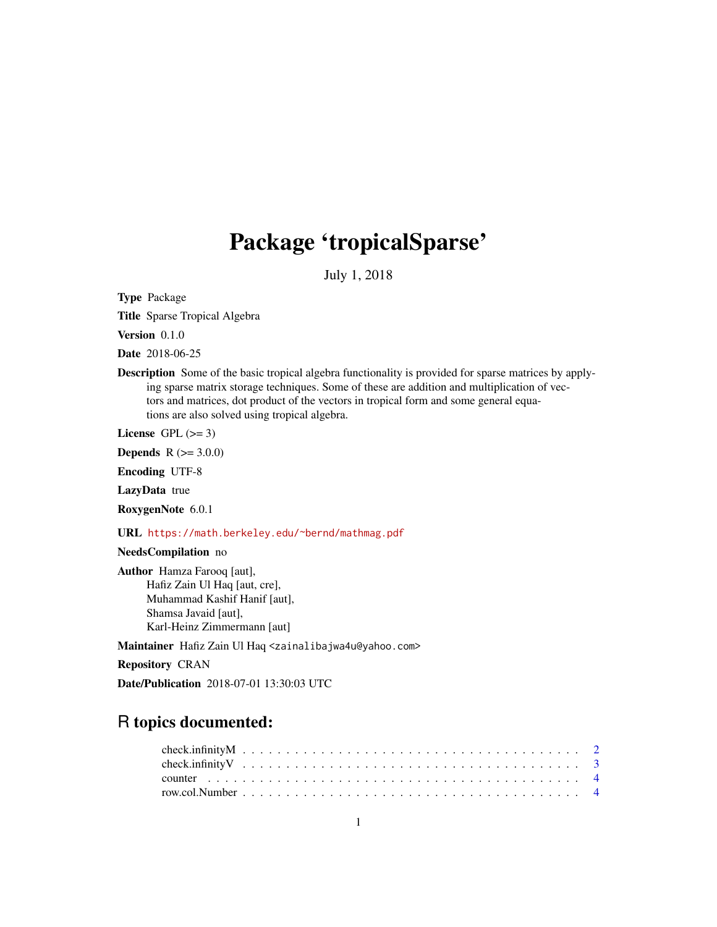## Package 'tropicalSparse'

July 1, 2018

<span id="page-0-0"></span>Type Package

Title Sparse Tropical Algebra

Version 0.1.0

Date 2018-06-25

Description Some of the basic tropical algebra functionality is provided for sparse matrices by applying sparse matrix storage techniques. Some of these are addition and multiplication of vectors and matrices, dot product of the vectors in tropical form and some general equations are also solved using tropical algebra.

License GPL  $(>= 3)$ 

**Depends** R  $(>= 3.0.0)$ 

Encoding UTF-8

LazyData true

RoxygenNote 6.0.1

URL <https://math.berkeley.edu/~bernd/mathmag.pdf>

NeedsCompilation no

Author Hamza Farooq [aut], Hafiz Zain Ul Haq [aut, cre], Muhammad Kashif Hanif [aut], Shamsa Javaid [aut], Karl-Heinz Zimmermann [aut]

Maintainer Hafiz Zain Ul Haq <zainalibajwa4u@yahoo.com>

Repository CRAN

Date/Publication 2018-07-01 13:30:03 UTC

## R topics documented: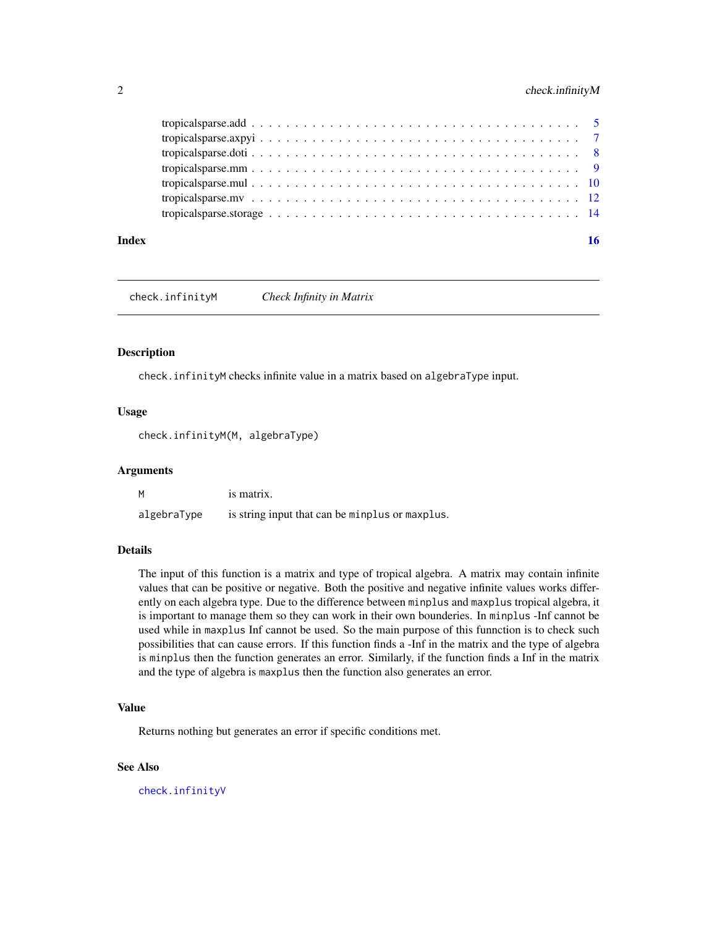#### <span id="page-1-0"></span>2 check.infinityM

| Index | 16 |  |
|-------|----|--|

<span id="page-1-1"></span>check.infinityM *Check Infinity in Matrix*

#### Description

check.infinityM checks infinite value in a matrix based on algebraType input.

### Usage

check.infinityM(M, algebraType)

#### Arguments

| M           | is matrix.                                      |
|-------------|-------------------------------------------------|
| algebraType | is string input that can be minplus or maxplus. |

#### Details

The input of this function is a matrix and type of tropical algebra. A matrix may contain infinite values that can be positive or negative. Both the positive and negative infinite values works differently on each algebra type. Due to the difference between minplus and maxplus tropical algebra, it is important to manage them so they can work in their own bounderies. In minplus -Inf cannot be used while in maxplus Inf cannot be used. So the main purpose of this funnction is to check such possibilities that can cause errors. If this function finds a -Inf in the matrix and the type of algebra is minplus then the function generates an error. Similarly, if the function finds a Inf in the matrix and the type of algebra is maxplus then the function also generates an error.

#### Value

Returns nothing but generates an error if specific conditions met.

#### See Also

[check.infinityV](#page-2-1)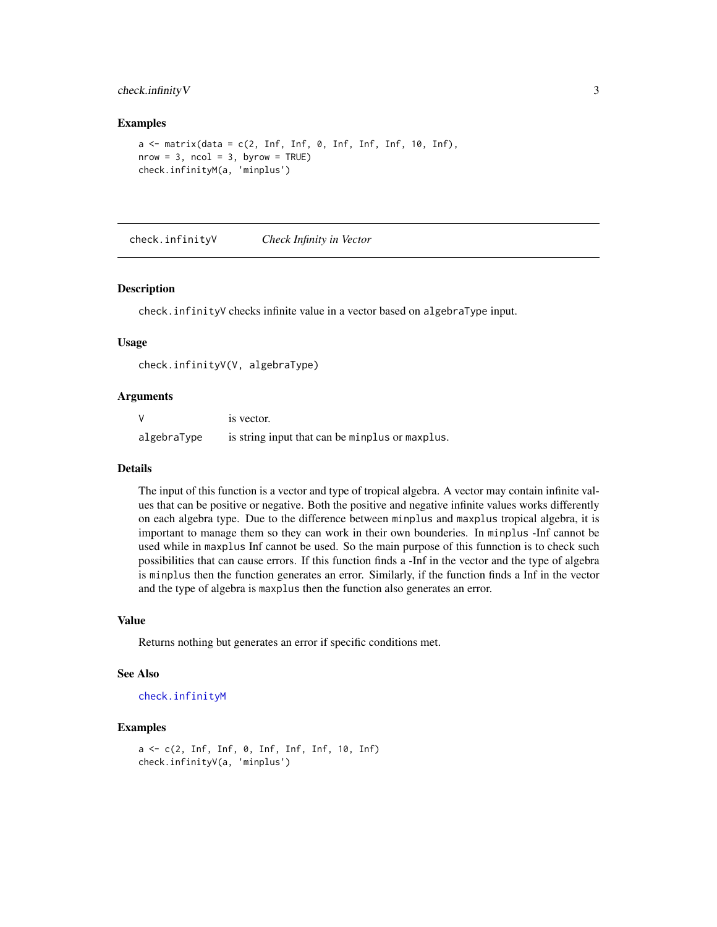#### <span id="page-2-0"></span>check.infinityV 3

#### Examples

```
a \leq matrix(data = c(2, Inf, Inf, 0, Inf, Inf, Inf, 10, Inf),
nrow = 3, ncol = 3, byrow = TRUE)
check.infinityM(a, 'minplus')
```
<span id="page-2-1"></span>check.infinityV *Check Infinity in Vector*

#### Description

check.infinityV checks infinite value in a vector based on algebraType input.

#### Usage

check.infinityV(V, algebraType)

#### Arguments

| <sup>V</sup> | is vector.                                      |
|--------------|-------------------------------------------------|
| algebraType  | is string input that can be minplus or maxplus. |

#### Details

The input of this function is a vector and type of tropical algebra. A vector may contain infinite values that can be positive or negative. Both the positive and negative infinite values works differently on each algebra type. Due to the difference between minplus and maxplus tropical algebra, it is important to manage them so they can work in their own bounderies. In minplus -Inf cannot be used while in maxplus Inf cannot be used. So the main purpose of this funnction is to check such possibilities that can cause errors. If this function finds a -Inf in the vector and the type of algebra is minplus then the function generates an error. Similarly, if the function finds a Inf in the vector and the type of algebra is maxplus then the function also generates an error.

#### Value

Returns nothing but generates an error if specific conditions met.

#### See Also

```
check.infinityM
```

```
a <- c(2, Inf, Inf, 0, Inf, Inf, Inf, 10, Inf)
check.infinityV(a, 'minplus')
```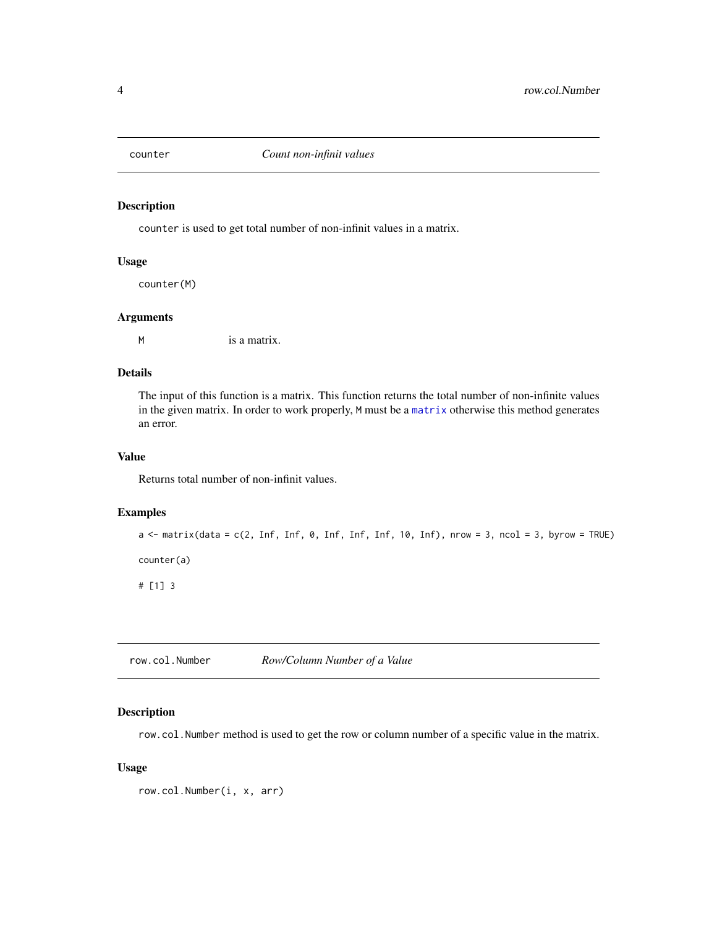<span id="page-3-0"></span>

#### Description

counter is used to get total number of non-infinit values in a matrix.

#### Usage

counter(M)

#### Arguments

M is a matrix.

#### Details

The input of this function is a matrix. This function returns the total number of non-infinite values in the given matrix. In order to work properly, M must be a [matrix](#page-0-0) otherwise this method generates an error.

#### Value

Returns total number of non-infinit values.

#### Examples

```
a <- matrix(data = c(2, Inf, Inf, 0, Inf, Inf, Inf, 10, Inf), nrow = 3, ncol = 3, byrow = TRUE)
counter(a)
# [1] 3
```
row.col.Number *Row/Column Number of a Value*

#### Description

row.col.Number method is used to get the row or column number of a specific value in the matrix.

#### Usage

```
row.col.Number(i, x, arr)
```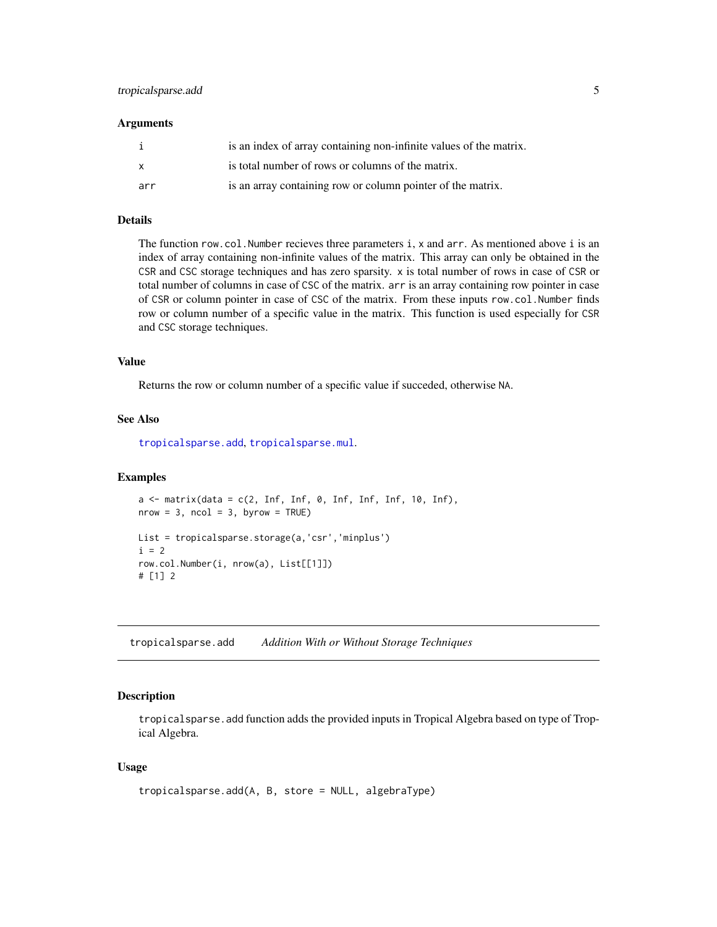#### <span id="page-4-0"></span>**Arguments**

|     | is an index of array containing non-infinite values of the matrix. |
|-----|--------------------------------------------------------------------|
|     | is total number of rows or columns of the matrix.                  |
| arr | is an array containing row or column pointer of the matrix.        |

#### Details

The function row.col.Number recieves three parameters i, x and arr. As mentioned above i is an index of array containing non-infinite values of the matrix. This array can only be obtained in the CSR and CSC storage techniques and has zero sparsity. x is total number of rows in case of CSR or total number of columns in case of CSC of the matrix. arr is an array containing row pointer in case of CSR or column pointer in case of CSC of the matrix. From these inputs row.col.Number finds row or column number of a specific value in the matrix. This function is used especially for CSR and CSC storage techniques.

#### Value

Returns the row or column number of a specific value if succeded, otherwise NA.

#### See Also

[tropicalsparse.add](#page-4-1), [tropicalsparse.mul](#page-9-1).

#### Examples

```
a \leq matrix(data = c(2, \text{Inf}, \text{Inf}, \emptyset, \text{Inf}, \text{Inf}, \text{Inf}, \text{10}, \text{Inf}),nrow = 3, ncol = 3, byrow = TRUE)
List = tropicalsparse.storage(a,'csr','minplus')
i = 2row.col.Number(i, nrow(a), List[[1]])
# [1] 2
```
<span id="page-4-1"></span>tropicalsparse.add *Addition With or Without Storage Techniques*

### Description

tropicalsparse.add function adds the provided inputs in Tropical Algebra based on type of Tropical Algebra.

#### Usage

```
tropicalsparse.add(A, B, store = NULL, algebraType)
```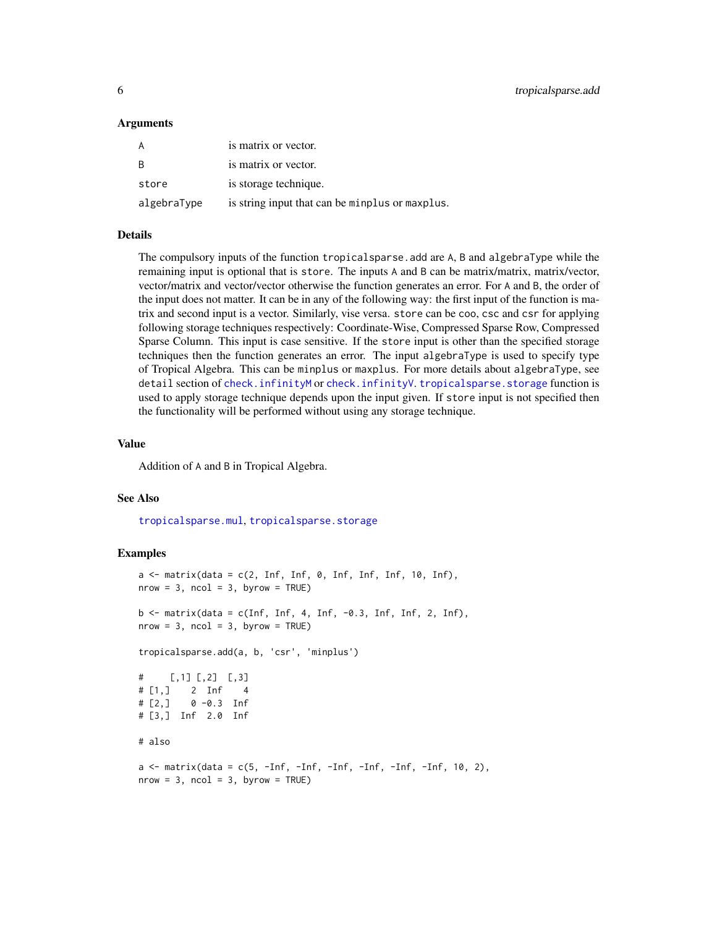#### <span id="page-5-0"></span>Arguments

| A           | is matrix or vector.                            |
|-------------|-------------------------------------------------|
| B           | is matrix or vector.                            |
| store       | is storage technique.                           |
| algebraType | is string input that can be minplus or maxplus. |

#### Details

The compulsory inputs of the function tropicalsparse.add are A, B and algebraType while the remaining input is optional that is store. The inputs A and B can be matrix/matrix, matrix/vector, vector/matrix and vector/vector otherwise the function generates an error. For A and B, the order of the input does not matter. It can be in any of the following way: the first input of the function is matrix and second input is a vector. Similarly, vise versa. store can be coo, csc and csr for applying following storage techniques respectively: Coordinate-Wise, Compressed Sparse Row, Compressed Sparse Column. This input is case sensitive. If the store input is other than the specified storage techniques then the function generates an error. The input algebraType is used to specify type of Tropical Algebra. This can be minplus or maxplus. For more details about algebraType, see detail section of [check.infinityM](#page-1-1) or [check.infinityV](#page-2-1). [tropicalsparse.storage](#page-13-1) function is used to apply storage technique depends upon the input given. If store input is not specified then the functionality will be performed without using any storage technique.

#### Value

Addition of A and B in Tropical Algebra.

#### See Also

[tropicalsparse.mul](#page-9-1), [tropicalsparse.storage](#page-13-1)

```
a \leq matrix(data = c(2, Inf, Inf, 0, Inf, Inf, Inf, 10, Inf),
nrow = 3, ncol = 3, byrow = TRUE)
b \le matrix(data = c(Inf, Inf, 4, Inf, -0.3, Inf, Inf, 2, Inf),
nrow = 3, ncol = 3, byrow = TRUE)
tropicalsparse.add(a, b, 'csr', 'minplus')
# [,1] [,2] [,3]
# [1,] 2 Inf 4
# [2,] 0 -0.3 Inf
# [3,] Inf 2.0 Inf
# also
a \leq -\text{matrix}(data = c(5, -Inf, -Inf, -Inf, -Inf, -Inf, -Inf, -Inf, 10, 2),nrow = 3, ncol = 3, byrow = TRUE)
```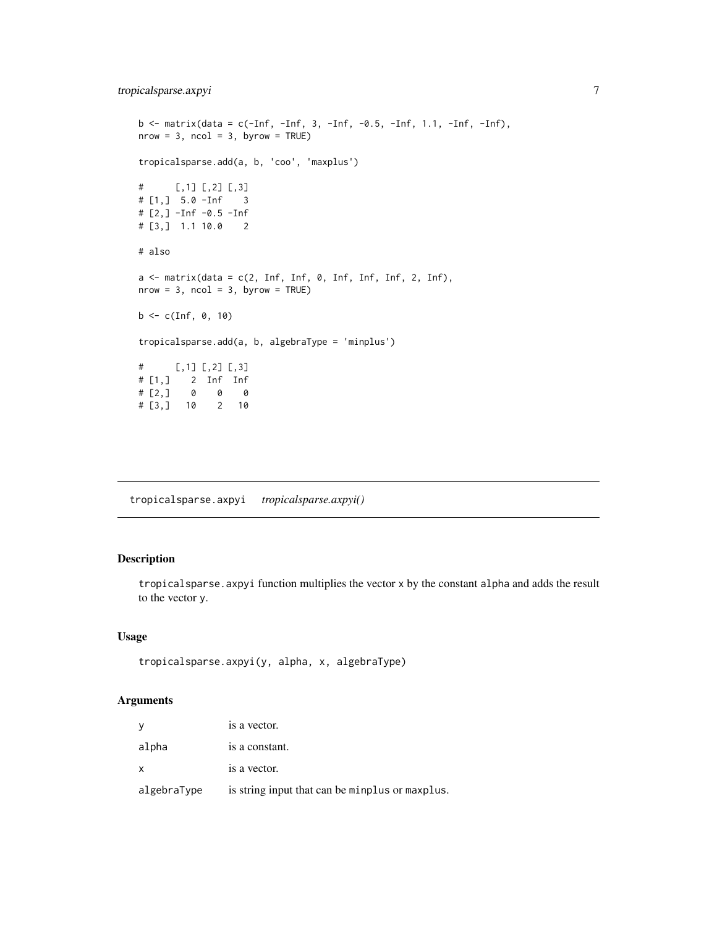```
b <- matrix(data = c(-Inf, -Inf, 3, -Inf, -0.5, -Inf, 1.1, -Inf, -Inf),
nrow = 3, ncol = 3, byrow = TRUE)
tropicalsparse.add(a, b, 'coo', 'maxplus')
# [,1] [,2] [,3]
# [1,] 5.0 -Inf 3
# [2,] -Inf -0.5 -Inf
# [3,] 1.1 10.0 2
# also
a \leq - matrix(data = c(2, Inf, Inf, 0, Inf, Inf, Inf, 2, Inf),
nrow = 3, ncol = 3, byrow = TRUE)
b \leq c(\text{Inf}, 0, 10)tropicalsparse.add(a, b, algebraType = 'minplus')
# [, 1] [, 2] [, 3]
# [1,] 2 Inf Inf
# [2,] 0 0 0
# [3,] 10 2 10
```
<span id="page-6-1"></span>tropicalsparse.axpyi *tropicalsparse.axpyi()*

#### Description

tropicalsparse.axpyi function multiplies the vector x by the constant alpha and adds the result to the vector y.

### Usage

```
tropicalsparse.axpyi(y, alpha, x, algebraType)
```
#### Arguments

|              | is a vector.                                    |
|--------------|-------------------------------------------------|
| alpha        | is a constant.                                  |
| $\mathsf{x}$ | is a vector.                                    |
| algebraType  | is string input that can be minplus or maxplus. |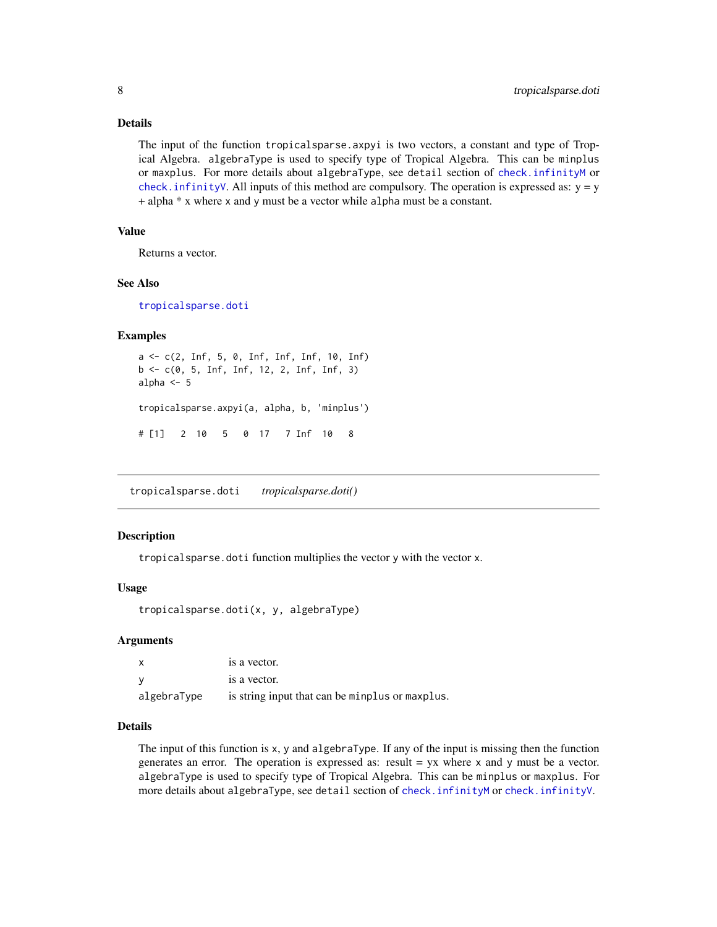#### <span id="page-7-0"></span>Details

The input of the function tropicalsparse.axpyi is two vectors, a constant and type of Tropical Algebra. algebraType is used to specify type of Tropical Algebra. This can be minplus or maxplus. For more details about algebraType, see detail section of [check.infinityM](#page-1-1) or check. infinityV. All inputs of this method are compulsory. The operation is expressed as:  $y = y$ + alpha \* x where x and y must be a vector while alpha must be a constant.

### Value

Returns a vector.

#### See Also

[tropicalsparse.doti](#page-7-1)

#### Examples

```
a <- c(2, Inf, 5, 0, Inf, Inf, Inf, 10, Inf)
b \leq c(0, 5, Inf, Inf, 12, 2, Inf, Inf, 3)alpha <-5tropicalsparse.axpyi(a, alpha, b, 'minplus')
# [1] 2 10 5 0 17 7 Inf 10 8
```
<span id="page-7-1"></span>tropicalsparse.doti *tropicalsparse.doti()*

#### Description

tropicalsparse.doti function multiplies the vector y with the vector x.

#### Usage

tropicalsparse.doti(x, y, algebraType)

#### Arguments

|             | is a vector.                                    |
|-------------|-------------------------------------------------|
|             | is a vector.                                    |
| algebraType | is string input that can be minplus or maxplus. |

#### Details

The input of this function is x, y and algebraType. If any of the input is missing then the function generates an error. The operation is expressed as: result  $=$  yx where x and y must be a vector. algebraType is used to specify type of Tropical Algebra. This can be minplus or maxplus. For more details about algebraType, see detail section of [check.infinityM](#page-1-1) or [check.infinityV](#page-2-1).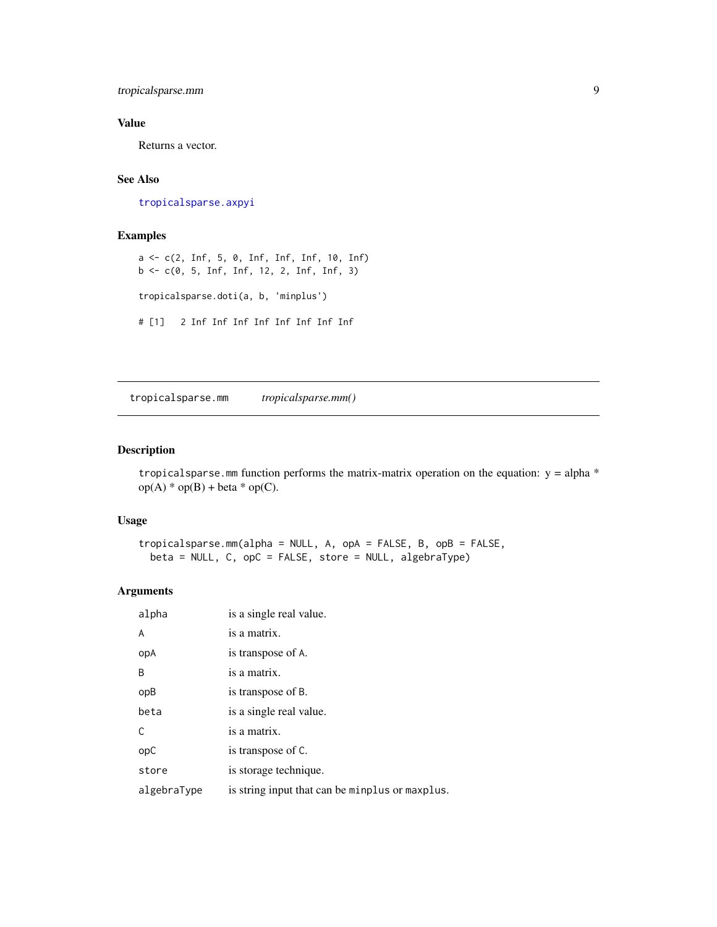<span id="page-8-0"></span>tropicalsparse.mm 9

### Value

Returns a vector.

### See Also

[tropicalsparse.axpyi](#page-6-1)

#### Examples

a <- c(2, Inf, 5, 0, Inf, Inf, Inf, 10, Inf) b <- c(0, 5, Inf, Inf, 12, 2, Inf, Inf, 3) tropicalsparse.doti(a, b, 'minplus') # [1] 2 Inf Inf Inf Inf Inf Inf Inf Inf

tropicalsparse.mm *tropicalsparse.mm()*

#### Description

tropicalsparse.mm function performs the matrix-matrix operation on the equation:  $y = alpha *$  $op(A) * op(B) + beta * op(C).$ 

### Usage

tropicalsparse.mm(alpha = NULL, A, opA = FALSE, B, opB = FALSE, beta = NULL, C, opC = FALSE, store = NULL, algebraType)

#### Arguments

| alpha       | is a single real value.                         |
|-------------|-------------------------------------------------|
| A           | is a matrix.                                    |
| opA         | is transpose of A.                              |
| B           | is a matrix.                                    |
| opB         | is transpose of B.                              |
| beta        | is a single real value.                         |
| C.          | is a matrix.                                    |
| opC         | is transpose of C.                              |
| store       | is storage technique.                           |
| algebraType | is string input that can be minplus or maxplus. |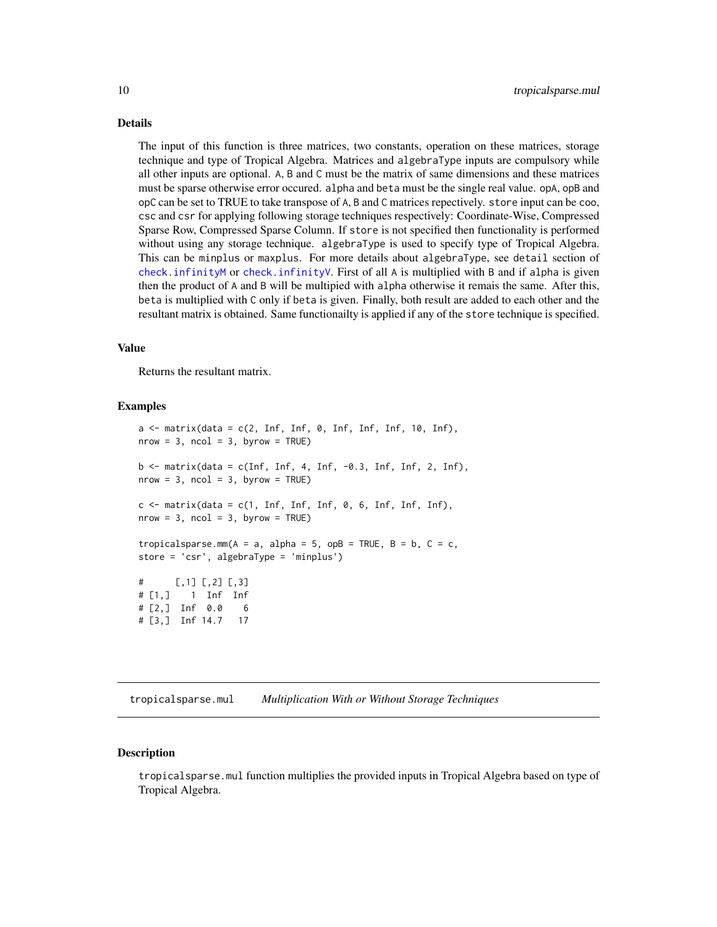#### <span id="page-9-0"></span>Details

The input of this function is three matrices, two constants, operation on these matrices, storage technique and type of Tropical Algebra. Matrices and algebraType inputs are compulsory while all other inputs are optional. A, B and C must be the matrix of same dimensions and these matrices must be sparse otherwise error occured. alpha and beta must be the single real value. opA, opB and opC can be set to TRUE to take transpose of A, B and C matrices repectively. store input can be coo, csc and csr for applying following storage techniques respectively: Coordinate-Wise, Compressed Sparse Row, Compressed Sparse Column. If store is not specified then functionality is performed without using any storage technique. algebraType is used to specify type of Tropical Algebra. This can be minplus or maxplus. For more details about algebraType, see detail section of [check.infinityM](#page-1-1) or [check.infinityV](#page-2-1). First of all A is multiplied with B and if alpha is given then the product of A and B will be multipied with alpha otherwise it remais the same. After this, beta is multiplied with C only if beta is given. Finally, both result are added to each other and the resultant matrix is obtained. Same functionailty is applied if any of the store technique is specified.

#### Value

Returns the resultant matrix.

#### Examples

 $a \leq$  matrix(data = c(2, Inf, Inf, 0, Inf, Inf, Inf, 10, Inf),  $nrow = 3$ ,  $ncol = 3$ ,  $byrow = TRUE$ )  $b \le$  matrix(data = c(Inf, Inf, 4, Inf,  $-0.3$ , Inf, Inf, 2, Inf),  $nrow = 3$ ,  $ncol = 3$ ,  $byrow = TRUE$ )  $c \le$  matrix(data =  $c(1, \text{Inf}, \text{Inf}, \text{Inf}, \theta, 6, \text{Inf}, \text{Inf}, \text{Inf}),$  $nrow = 3$ ,  $ncol = 3$ ,  $byrow = TRUE$ ) tropicalsparse.mm( $A = a$ , alpha = 5, opB = TRUE,  $B = b$ ,  $C = c$ , store = 'csr', algebraType = 'minplus')  $#$  [, 1] [, 2] [, 3] # [1,] 1 Inf Inf # [2,] Inf 0.0 6 # [3,] Inf 14.7 17

<span id="page-9-1"></span>tropicalsparse.mul *Multiplication With or Without Storage Techniques*

#### Description

tropicalsparse.mul function multiplies the provided inputs in Tropical Algebra based on type of Tropical Algebra.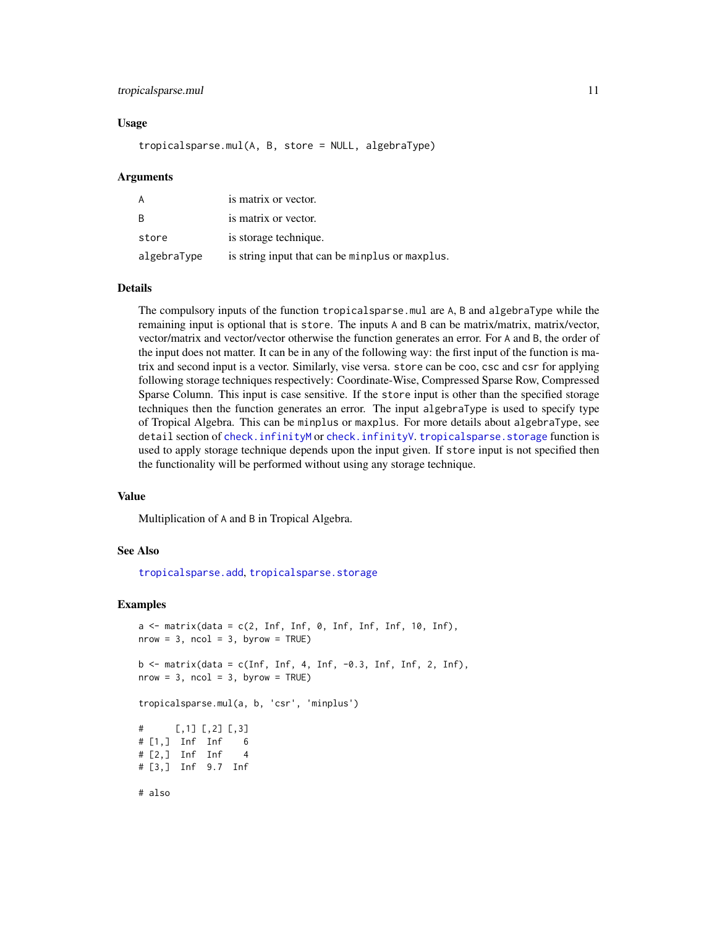#### <span id="page-10-0"></span>tropicalsparse.mul 11

#### Usage

tropicalsparse.mul(A, B, store = NULL, algebraType)

#### Arguments

| A           | is matrix or vector.                            |
|-------------|-------------------------------------------------|
| B           | is matrix or vector.                            |
| store       | is storage technique.                           |
| algebraType | is string input that can be minplus or maxplus. |

#### Details

The compulsory inputs of the function tropicalsparse.mul are A, B and algebraType while the remaining input is optional that is store. The inputs A and B can be matrix/matrix, matrix/vector, vector/matrix and vector/vector otherwise the function generates an error. For A and B, the order of the input does not matter. It can be in any of the following way: the first input of the function is matrix and second input is a vector. Similarly, vise versa. store can be coo, csc and csr for applying following storage techniques respectively: Coordinate-Wise, Compressed Sparse Row, Compressed Sparse Column. This input is case sensitive. If the store input is other than the specified storage techniques then the function generates an error. The input algebraType is used to specify type of Tropical Algebra. This can be minplus or maxplus. For more details about algebraType, see detail section of [check.infinityM](#page-1-1) or [check.infinityV](#page-2-1). [tropicalsparse.storage](#page-13-1) function is used to apply storage technique depends upon the input given. If store input is not specified then the functionality will be performed without using any storage technique.

#### Value

Multiplication of A and B in Tropical Algebra.

#### See Also

[tropicalsparse.add](#page-4-1), [tropicalsparse.storage](#page-13-1)

#### Examples

```
a \leq matrix(data = c(2, Inf, Inf, 0, Inf, Inf, Inf, 10, Inf),
nrow = 3, ncol = 3, byrow = TRUE)
b \le matrix(data = c(Inf, Inf, 4, Inf, -0.3, Inf, Inf, 2, Inf),
nrow = 3, ncol = 3, byrow = TRUE)
tropicalsparse.mul(a, b, 'csr', 'minplus')
```
# [,1] [,2] [,3] # [1,] Inf Inf 6 # [2,] Inf Inf 4 # [3,] Inf 9.7 Inf

# also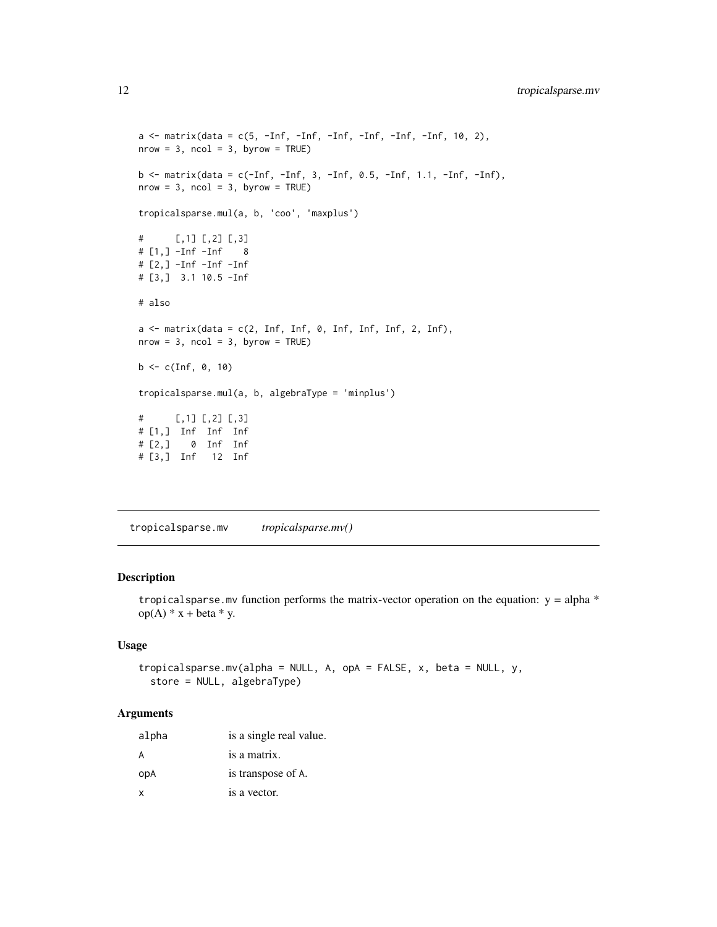```
a \leq matrix(data = c(5, -Inf, -Inf, -Inf, -Inf, -Inf, -Inf, 10, 2),
nrow = 3, ncol = 3, byrow = TRUE)
b <- matrix(data = c(-Inf, -Inf, 3, -Inf, 0.5, -Inf, 1.1, -Inf, -Inf),
nrow = 3, ncol = 3, byrow = TRUE)
tropicalsparse.mul(a, b, 'coo', 'maxplus')
# [,1] [,2] [,3]
# [1,] -Inf -Inf 8
# [2,] -Inf -Inf -Inf
# [3,] 3.1 10.5 -Inf
# also
a \leftarrow matrix(data = c(2, Inf, Inf, 0, Inf, Inf, Inf, 2, Inf),
nrow = 3, ncol = 3, byrow = TRUE)
b \leq c(\text{Inf}, 0, 10)tropicalsparse.mul(a, b, algebraType = 'minplus')
# [,1] [,2] [,3]
# [1,] Inf Inf Inf
# [2,] 0 Inf Inf
# [3,] Inf 12 Inf
```
<span id="page-11-1"></span>tropicalsparse.mv *tropicalsparse.mv()*

#### Description

tropical sparse. mv function performs the matrix-vector operation on the equation:  $y = alpha *$  $op(A) * x + beta * y.$ 

#### Usage

```
tropicalsparse.mv(alpha = NULL, A, opA = FALSE, x, beta = NULL, y,
 store = NULL, algebraType)
```
#### Arguments

| alpha | is a single real value. |
|-------|-------------------------|
| A     | is a matrix.            |
| opA   | is transpose of A.      |
| x     | is a vector.            |

<span id="page-11-0"></span>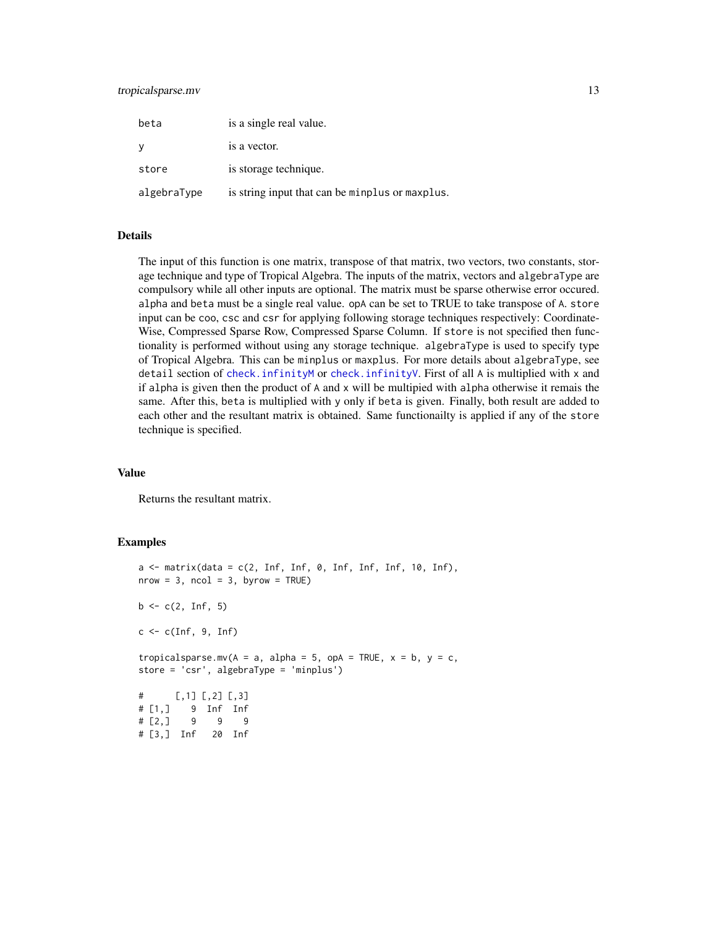#### <span id="page-12-0"></span>tropicalsparse.mv 13

| beta        | is a single real value.                         |
|-------------|-------------------------------------------------|
| - V         | is a vector.                                    |
| store       | is storage technique.                           |
| algebraType | is string input that can be minplus or maxplus. |

#### Details

The input of this function is one matrix, transpose of that matrix, two vectors, two constants, storage technique and type of Tropical Algebra. The inputs of the matrix, vectors and algebraType are compulsory while all other inputs are optional. The matrix must be sparse otherwise error occured. alpha and beta must be a single real value. opA can be set to TRUE to take transpose of A. store input can be coo, csc and csr for applying following storage techniques respectively: Coordinate-Wise, Compressed Sparse Row, Compressed Sparse Column. If store is not specified then functionality is performed without using any storage technique. algebraType is used to specify type of Tropical Algebra. This can be minplus or maxplus. For more details about algebraType, see detail section of [check.infinityM](#page-1-1) or [check.infinityV](#page-2-1). First of all A is multiplied with x and if alpha is given then the product of A and x will be multipied with alpha otherwise it remais the same. After this, beta is multiplied with y only if beta is given. Finally, both result are added to each other and the resultant matrix is obtained. Same functionailty is applied if any of the store technique is specified.

#### Value

Returns the resultant matrix.

```
a \leq matrix(data = c(2, Inf, Inf, 0, Inf, Inf, Inf, 10, Inf),
nrow = 3, ncol = 3, byrow = TRUE)
b \leq c(2, \ln f, 5)c \leq -c(\text{Inf}, 9, \text{Inf})tropicalsparse.mv(A = a, alpha = 5, opA = TRUE, x = b, y = c,
store = 'csr', algebraType = 'minplus')
# [, 1] [, 2] [, 3]
# [1,] 9 Inf Inf
# [2,] 9 9 9
# [3,] Inf 20 Inf
```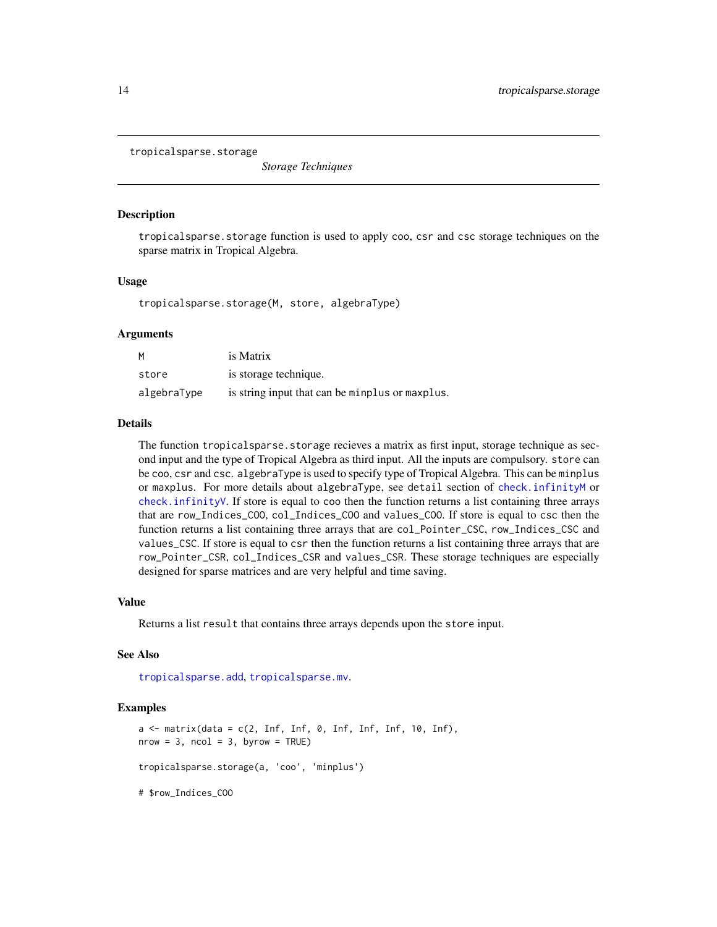<span id="page-13-1"></span><span id="page-13-0"></span>tropicalsparse.storage

*Storage Techniques*

#### **Description**

tropicalsparse.storage function is used to apply coo, csr and csc storage techniques on the sparse matrix in Tropical Algebra.

#### Usage

tropicalsparse.storage(M, store, algebraType)

#### Arguments

| м           | is Matrix                                       |
|-------------|-------------------------------------------------|
| store       | is storage technique.                           |
| algebraType | is string input that can be minplus or maxplus. |

#### Details

The function tropicalsparse. storage recieves a matrix as first input, storage technique as second input and the type of Tropical Algebra as third input. All the inputs are compulsory. store can be coo, csr and csc. algebraType is used to specify type of Tropical Algebra. This can be minplus or maxplus. For more details about algebraType, see detail section of [check.infinityM](#page-1-1) or [check.infinityV](#page-2-1). If store is equal to coo then the function returns a list containing three arrays that are row\_Indices\_COO, col\_Indices\_COO and values\_COO. If store is equal to csc then the function returns a list containing three arrays that are col\_Pointer\_CSC, row\_Indices\_CSC and values\_CSC. If store is equal to csr then the function returns a list containing three arrays that are row\_Pointer\_CSR, col\_Indices\_CSR and values\_CSR. These storage techniques are especially designed for sparse matrices and are very helpful and time saving.

#### Value

Returns a list result that contains three arrays depends upon the store input.

#### See Also

[tropicalsparse.add](#page-4-1), [tropicalsparse.mv](#page-11-1).

```
a \leq -\text{ matrix}(data = c(2, Inf, Inf, 0, Inf, Inf, Inf, 10, Inf),nrow = 3, ncol = 3, byrow = TRUE)
tropicalsparse.storage(a, 'coo', 'minplus')
# $row_Indices_COO
```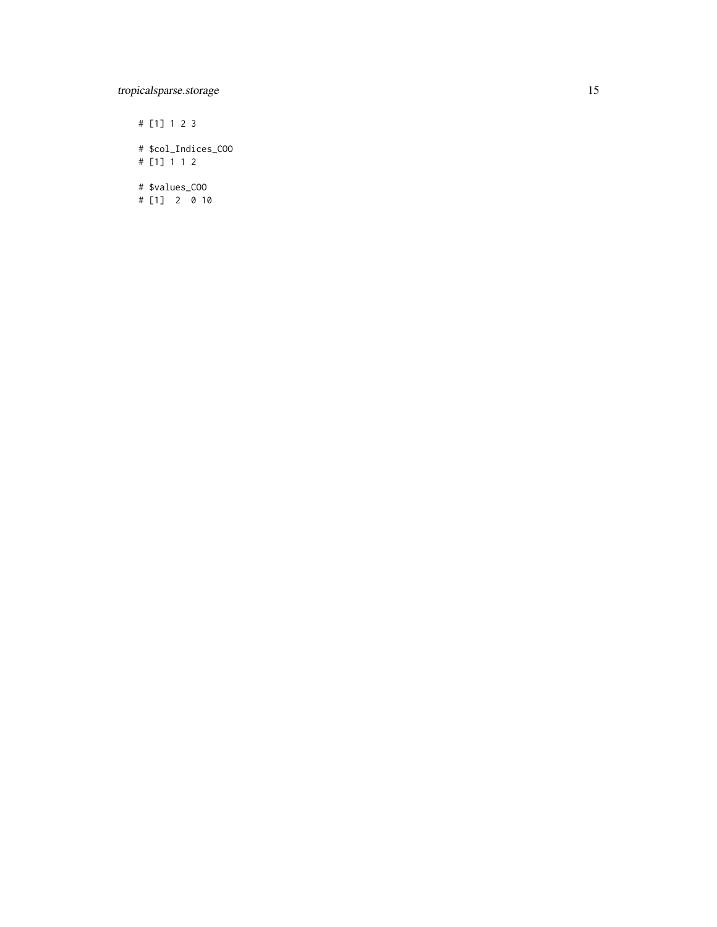### tropicalsparse.storage 15

# [1] 1 2 3 # \$col\_Indices\_COO # [1] 1 1 2

# \$values\_COO # [1] 2 0 10